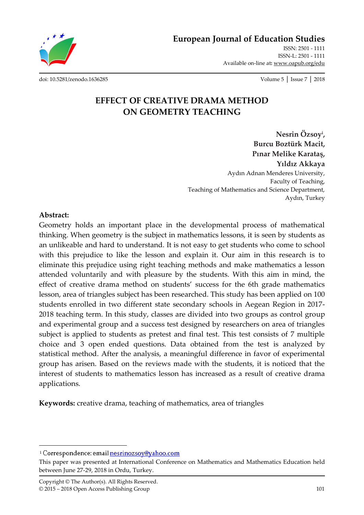**European Journal of Education Studies**

ISSN: 2501 - 1111 ISSN-L: 2501 - 1111 Available on-line at**:** www.oapub.org/edu

[doi: 10.5281/zenodo.1636285](http://dx.doi.org/10.5281/zenodo.1636285) Volume 5 │ Issue 7 │ 2018

# **EFFECT OF CREATIVE DRAMA METHOD ON GEOMETRY TEACHING**

**Nesrin Özsoy<sup>i</sup> , Burcu Boztürk Macit, Pınar Melike Karataş, Yıldız Akkaya** Aydın Adnan Menderes University, Faculty of Teaching, Teaching of Mathematics and Science Department, Aydın, Turkey

#### **Abstract:**

 $\overline{\phantom{a}}$ 

Geometry holds an important place in the developmental process of mathematical thinking. When geometry is the subject in mathematics lessons, it is seen by students as an unlikeable and hard to understand. It is not easy to get students who come to school with this prejudice to like the lesson and explain it. Our aim in this research is to eliminate this prejudice using right teaching methods and make mathematics a lesson attended voluntarily and with pleasure by the students. With this aim in mind, the effect of creative drama method on students' success for the 6th grade mathematics lesson, area of triangles subject has been researched. This study has been applied on 100 students enrolled in two different state secondary schools in Aegean Region in 2017- 2018 teaching term. In this study, classes are divided into two groups as control group and experimental group and a success test designed by researchers on area of triangles subject is applied to students as pretest and final test. This test consists of 7 multiple choice and 3 open ended questions. Data obtained from the test is analyzed by statistical method. After the analysis, a meaningful difference in favor of experimental group has arisen. Based on the reviews made with the students, it is noticed that the interest of students to mathematics lesson has increased as a result of creative drama applications.

**Keywords:** creative drama, teaching of mathematics, area of triangles

<sup>&</sup>lt;sup>i</sup> Correspondence: email nesrinozsoy@yahoo.com

This paper was presented at International Conference on Mathematics and Mathematics Education held between June 27-29, 2018 in Ordu, Turkey.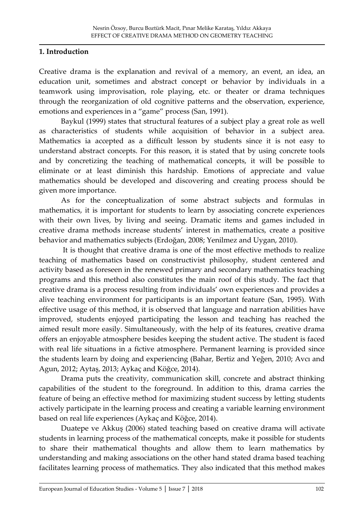### **1. Introduction**

Creative drama is the explanation and revival of a memory, an event, an idea, an education unit, sometimes and abstract concept or behavior by individuals in a teamwork using improvisation, role playing, etc. or theater or drama techniques through the reorganization of old cognitive patterns and the observation, experience, emotions and experiences in a "game" process (San, 1991).

Baykul (1999) states that structural features of a subject play a great role as well as characteristics of students while acquisition of behavior in a subject area. Mathematics ia accepted as a difficult lesson by students since it is not easy to understand abstract concepts. For this reason, it is stated that by using concrete tools and by concretizing the teaching of mathematical concepts, it will be possible to eliminate or at least diminish this hardship. Emotions of appreciate and value mathematics should be developed and discovering and creating process should be given more importance.

As for the conceptualization of some abstract subjects and formulas in mathematics, it is important for students to learn by associating concrete experiences with their own lives, by living and seeing. Dramatic items and games included in creative drama methods increase students' interest in mathematics, create a positive behavior and mathematics subjects (Erdoğan, 2008; Yenilmez and Uygan, 2010).

It is thought that creative drama is one of the most effective methods to realize teaching of mathematics based on constructivist philosophy, student centered and activity based as foreseen in the renewed primary and secondary mathematics teaching programs and this method also constitutes the main roof of this study. The fact that creative drama is a process resulting from individuals' own experiences and provides a alive teaching environment for participants is an important feature (San, 1995). With effective usage of this method, it is observed that language and narration abilities have improved, students enjoyed participating the lesson and teaching has reached the aimed result more easily. Simultaneously, with the help of its features, creative drama offers an enjoyable atmosphere besides keeping the student active. The student is faced with real life situations in a fictive atmosphere. Permanent learning is provided since the students learn by doing and experiencing (Bahar, Bertiz and Yeğen, 2010; Avcı and Agun, 2012; Aytaş, 2013; Aykaç and Köğce, 2014).

Drama puts the creativity, communication skill, concrete and abstract thinking capabilities of the student to the foreground. In addition to this, drama carries the feature of being an effective method for maximizing student success by letting students actively participate in the learning process and creating a variable learning environment based on real life experiences (Aykaç and Köğce, 2014).

Duatepe ve Akkuş (2006) stated teaching based on creative drama will activate students in learning process of the mathematical concepts, make it possible for students to share their mathematical thoughts and allow them to learn mathematics by understanding and making associations on the other hand stated drama based teaching facilitates learning process of mathematics. They also indicated that this method makes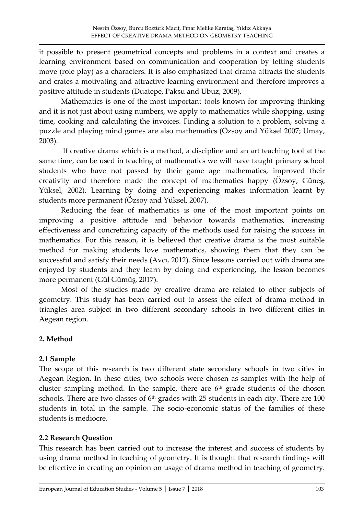it possible to present geometrical concepts and problems in a context and creates a learning environment based on communication and cooperation by letting students move (role play) as a characters. It is also emphasized that drama attracts the students and crates a motivating and attractive learning environment and therefore improves a positive attitude in students (Duatepe, Paksu and Ubuz, 2009).

Mathematics is one of the most important tools known for improving thinking and it is not just about using numbers, we apply to mathematics while shopping, using time, cooking and calculating the invoices. Finding a solution to a problem, solving a puzzle and playing mind games are also mathematics (Özsoy and Yüksel 2007; Umay, 2003).

If creative drama which is a method, a discipline and an art teaching tool at the same time, can be used in teaching of mathematics we will have taught primary school students who have not passed by their game age mathematics, improved their creativity and therefore made the concept of mathematics happy (Özsoy, Güneş, Yüksel, 2002). Learning by doing and experiencing makes information learnt by students more permanent (Özsoy and Yüksel, 2007).

Reducing the fear of mathematics is one of the most important points on improving a positive attitude and behavior towards mathematics, increasing effectiveness and concretizing capacity of the methods used for raising the success in mathematics. For this reason, it is believed that creative drama is the most suitable method for making students love mathematics, showing them that they can be successful and satisfy their needs (Avcı, 2012). Since lessons carried out with drama are enjoyed by students and they learn by doing and experiencing, the lesson becomes more permanent (Gül Gümüş, 2017).

Most of the studies made by creative drama are related to other subjects of geometry. This study has been carried out to assess the effect of drama method in triangles area subject in two different secondary schools in two different cities in Aegean region.

# **2. Method**

# **2.1 Sample**

The scope of this research is two different state secondary schools in two cities in Aegean Region. In these cities, two schools were chosen as samples with the help of cluster sampling method. In the sample, there are  $6<sup>th</sup>$  grade students of the chosen schools. There are two classes of  $6<sup>th</sup>$  grades with 25 students in each city. There are 100 students in total in the sample. The socio-economic status of the families of these students is mediocre.

# **2.2 Research Question**

This research has been carried out to increase the interest and success of students by using drama method in teaching of geometry. It is thought that research findings will be effective in creating an opinion on usage of drama method in teaching of geometry.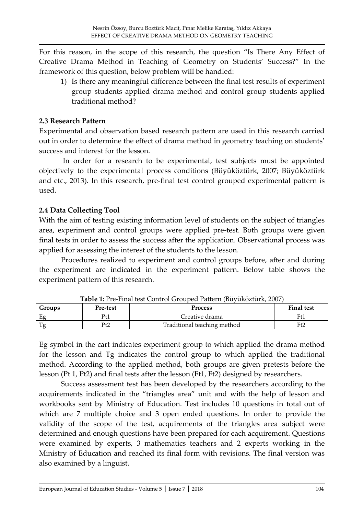For this reason, in the scope of this research, the question 'Is There Any Effect of Creative Drama Method in Teaching of Geometry on Students' Success?' In the framework of this question, below problem will be handled:

1) Is there any meaningful difference between the final test results of experiment group students applied drama method and control group students applied traditional method?

### **2.3 Research Pattern**

Experimental and observation based research pattern are used in this research carried out in order to determine the effect of drama method in geometry teaching on students' success and interest for the lesson.

In order for a research to be experimental, test subjects must be appointed objectively to the experimental process conditions (Büyüköztürk, 2007; Büyüköztürk and etc., 2013). In this research, pre-final test control grouped experimental pattern is used.

## **2.4 Data Collecting Tool**

With the aim of testing existing information level of students on the subject of triangles area, experiment and control groups were applied pre-test. Both groups were given final tests in order to assess the success after the application. Observational process was applied for assessing the interest of the students to the lesson.

Procedures realized to experiment and control groups before, after and during the experiment are indicated in the experiment pattern. Below table shows the experiment pattern of this research.

| Groups | Pre-test | <b>Process</b>              | <b>Final test</b> |
|--------|----------|-----------------------------|-------------------|
| Eφ     | Pt1      | Creative drama              | Ft1               |
|        | Pt2      | Traditional teaching method | Ft2               |

**Table 1:** Pre-Final test Control Grouped Pattern (Büyüköztürk, 2007)

Eg symbol in the cart indicates experiment group to which applied the drama method for the lesson and Tg indicates the control group to which applied the traditional method. According to the applied method, both groups are given pretests before the lesson (Pt 1, Pt2) and final tests after the lesson (Ft1, Ft2) designed by researchers.

Success assessment test has been developed by the researchers according to the acquirements indicated in the 'triangles area' unit and with the help of lesson and workbooks sent by Ministry of Education. Test includes 10 questions in total out of which are 7 multiple choice and 3 open ended questions. In order to provide the validity of the scope of the test, acquirements of the triangles area subject were determined and enough questions have been prepared for each acquirement. Questions were examined by experts, 3 mathematics teachers and 2 experts working in the Ministry of Education and reached its final form with revisions. The final version was also examined by a linguist.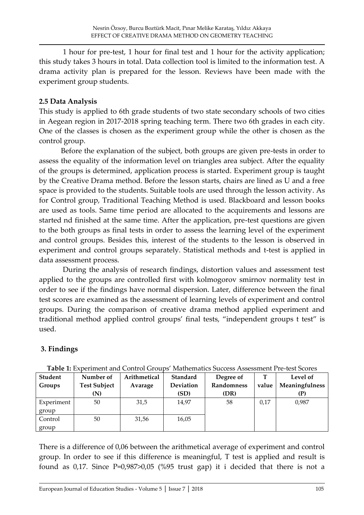1 hour for pre-test, 1 hour for final test and 1 hour for the activity application; this study takes 3 hours in total. Data collection tool is limited to the information test. A drama activity plan is prepared for the lesson. Reviews have been made with the experiment group students.

## **2.5 Data Analysis**

This study is applied to 6th grade students of two state secondary schools of two cities in Aegean region in 2017-2018 spring teaching term. There two 6th grades in each city. One of the classes is chosen as the experiment group while the other is chosen as the control group.

Before the explanation of the subject, both groups are given pre-tests in order to assess the equality of the information level on triangles area subject. After the equality of the groups is determined, application process is started. Experiment group is taught by the Creative Drama method. Before the lesson starts, chairs are lined as U and a free space is provided to the students. Suitable tools are used through the lesson activity. As for Control group, Traditional Teaching Method is used. Blackboard and lesson books are used as tools. Same time period are allocated to the acquirements and lessons are started nd finished at the same time. After the application, pre-test questions are given to the both groups as final tests in order to assess the learning level of the experiment and control groups. Besides this, interest of the students to the lesson is observed in experiment and control groups separately. Statistical methods and t-test is applied in data assessment process.

During the analysis of research findings, distortion values and assessment test applied to the groups are controlled first with kolmogorov smirnov normality test in order to see if the findings have normal dispersion. Later, difference between the final test scores are examined as the assessment of learning levels of experiment and control groups. During the comparison of creative drama method applied experiment and traditional method applied control groups' final tests, 'independent groups t test' is used.

# **3. Findings**

| Student    | Number of           | Arithmetical | <b>Standard</b>  | Table 1. EXPENSIVE and Control Groups Triantemancs puccess Assessment Fle-test peoles<br>Degree of |       | Level of       |
|------------|---------------------|--------------|------------------|----------------------------------------------------------------------------------------------------|-------|----------------|
| Groups     | <b>Test Subject</b> | Avarage      | <b>Deviation</b> | Randomness                                                                                         | value | Meaningfulness |
|            | (N)                 |              | (SD)             | (DR)                                                                                               |       | (P)            |
| Experiment | 50                  | 31,5         | 14,97            | 58                                                                                                 | 0,17  | 0,987          |
| group      |                     |              |                  |                                                                                                    |       |                |
| Control    | 50                  | 31,56        | 16,05            |                                                                                                    |       |                |
| group      |                     |              |                  |                                                                                                    |       |                |

**Table 1:** Experiment and Control Groups' Mathematics Success Assessment Pre-test Scores

There is a difference of 0,06 between the arithmetical average of experiment and control group. In order to see if this difference is meaningful, T test is applied and result is found as 0,17. Since P=0,987>0,05 (%95 trust gap) it i decided that there is not a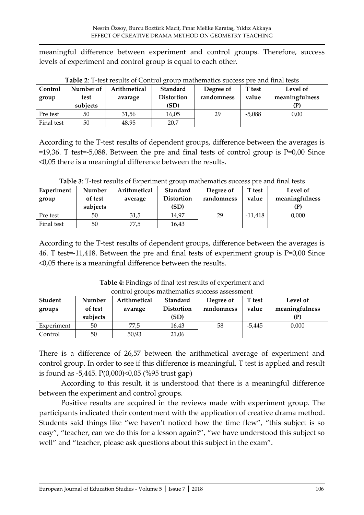meaningful difference between experiment and control groups. Therefore, success levels of experiment and control group is equal to each other.

| Control<br>group | Number of<br>test<br>subjects | Arithmetical<br>avarage | Standard<br><b>Distortion</b><br>(SD) | Degree of<br>randomness | T test<br>value | Level of<br>meaningfulness<br>(P |
|------------------|-------------------------------|-------------------------|---------------------------------------|-------------------------|-----------------|----------------------------------|
| Pre test         | 50                            | 31,56                   | 16,05                                 | 29                      | $-5,088$        | 0.00                             |
| Final test       | 50                            | 48.95                   | 20,7                                  |                         |                 |                                  |

**Table 2**: T-test results of Control group mathematics success pre and final tests

According to the T-test results of dependent groups, difference between the averages is =19,36. T test=-5,088. Between the pre and final tests of control group is P=0,00 Since <0,05 there is a meaningful difference between the results.

| Experiment<br>group | Number<br>of test<br>subjects | Arithmetical<br>average | <b>Standard</b><br><b>Distortion</b><br>(SD) | Degree of<br>randomness | T test<br>value | Level of<br>meaningfulness |  |
|---------------------|-------------------------------|-------------------------|----------------------------------------------|-------------------------|-----------------|----------------------------|--|
| Pre test            | 50                            | 31,5                    | 14.97                                        | 29                      | $-11,418$       | 0.000                      |  |
| Final test          | 50                            | 77,5                    | 16,43                                        |                         |                 |                            |  |

**Table 3**: T-test results of Experiment group mathematics success pre and final tests

According to the T-test results of dependent groups, difference between the averages is 46. T test=-11,418. Between the pre and final tests of experiment group is P=0,00 Since <0,05 there is a meaningful difference between the results.

**Table 4:** Findings of final test results of experiment and control groups mathematics success assessment

| Student<br>groups | Number<br>of test<br>subjects | Arithmetical<br>avarage | Standard<br><b>Distortion</b><br>(SD) | Degree of<br>randomness | T test<br>value | Level of<br>meaningfulness |
|-------------------|-------------------------------|-------------------------|---------------------------------------|-------------------------|-----------------|----------------------------|
| Experiment        | 50                            | 77,5                    | 16,43                                 | 58                      | $-5,445$        | 0,000                      |
| Control           | 50                            | 50,93                   | 21,06                                 |                         |                 |                            |

There is a difference of 26,57 between the arithmetical average of experiment and control group. In order to see if this difference is meaningful, T test is applied and result is found as -5,445. P(0,000)<0,05 (%95 trust gap)

According to this result, it is understood that there is a meaningful difference between the experiment and control groups.

Positive results are acquired in the reviews made with experiment group. The participants indicated their contentment with the application of creative drama method. Students said things like 'we haven't noticed how the time flew', 'this subject is so easy", "teacher, can we do this for a lesson again?", "we have understood this subject so well" and "teacher, please ask questions about this subject in the exam".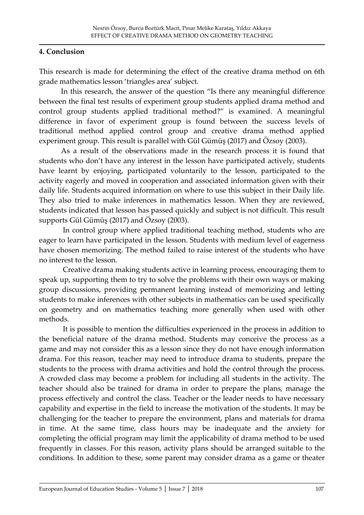### **4. Conclusion**

This research is made for determining the effect of the creative drama method on 6th grade mathematics lesson 'triangles area' subject.

In this research, the answer of the question 'Is there any meaningful difference between the final test results of experiment group students applied drama method and control group students applied traditional method?' is examined. A meaningful difference in favor of experiment group is found between the success levels of traditional method applied control group and creative drama method applied experiment group. This result is parallel with Gül Gümüş (2017) and Özsoy (2003).

As a result of the observations made in the research process it is found that students who don't have any interest in the lesson have participated actively, students have learnt by enjoying, participated voluntarily to the lesson, participated to the activity eagerly and moved in cooperation and associated information given with their daily life. Students acquired information on where to use this subject in their Daily life. They also tried to make inferences in mathematics lesson. When they are reviewed, students indicated that lesson has passed quickly and subject is not difficult. This result supports Gül Gümüş (2017) and Özsoy (2003).

In control group where applied traditional teaching method, students who are eager to learn have participated in the lesson. Students with medium level of eagerness have chosen memorizing. The method failed to raise interest of the students who have no interest to the lesson.

Creative drama making students active in learning process, encouraging them to speak up, supporting them to try to solve the problems with their own ways or making group discussions, providing permanent learning instead of memorizing and letting students to make inferences with other subjects in mathematics can be used specifically on geometry and on mathematics teaching more generally when used with other methods.

It is possible to mention the difficulties experienced in the process in addition to the beneficial nature of the drama method. Students may conceive the process as a game and may not consider this as a lesson since they do not have enough information drama. For this reason, teacher may need to introduce drama to students, prepare the students to the process with drama activities and hold the control through the process. A crowded class may become a problem for including all students in the activity. The teacher should also be trained for drama in order to prepare the plans, manage the process effectively and control the class. Teacher or the leader needs to have necessary capability and expertise in the field to increase the motivation of the students. It may be challenging for the teacher to prepare the environment, plans and materials for drama in time. At the same time, class hours may be inadequate and the anxiety for completing the official program may limit the applicability of drama method to be used frequently in classes. For this reason, activity plans should be arranged suitable to the conditions. In addition to these, some parent may consider drama as a game or theater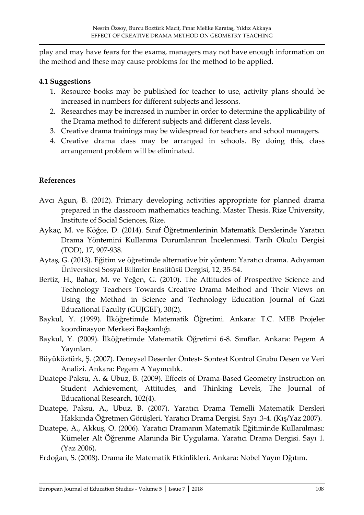play and may have fears for the exams, managers may not have enough information on the method and these may cause problems for the method to be applied.

## **4.1 Suggestions**

- 1. Resource books may be published for teacher to use, activity plans should be increased in numbers for different subjects and lessons.
- 2. Researches may be increased in number in order to determine the applicability of the Drama method to different subjects and different class levels.
- 3. Creative drama trainings may be widespread for teachers and school managers.
- 4. Creative drama class may be arranged in schools. By doing this, class arrangement problem will be eliminated.

## **References**

- Avcı Agun, B. (2012). Primary developing activities appropriate for planned drama prepared in the classroom mathematics teaching. Master Thesis. Rize University, Institute of Social Sciences, Rize.
- Aykaç, M. ve Köğce, D. (2014). Sınıf Öğretmenlerinin Matematik Derslerinde Yaratıcı Drama Yöntemini Kullanma Durumlarının İncelenmesi. Tarih Okulu Dergisi (TOD), 17, 907-938.
- Aytaş, G. (2013). Eğitim ve öğretimde alternative bir yöntem: Yaratıcı drama. Adıyaman Üniversitesi Sosyal Bilimler Enstitüsü Dergisi, 12, 35-54.
- Bertiz, H., Bahar, M. ve Yeğen, G. (2010). The Attitudes of Prospective Science and Technology Teachers Towards Creative Drama Method and Their Views on Using the Method in Science and Technology Education Journal of Gazi Educational Faculty (GUJGEF), 30(2).
- Baykul, Y. (1999). İlköğretimde Matematik Öğretimi. Ankara: T.C. MEB Projeler koordinasyon Merkezi Başkanlığı.
- Baykul, Y. (2009). İlköğretimde Matematik Öğretimi 6-8. Sınıflar. Ankara: Pegem A Yayınları.
- Büyüköztürk, Ş. (2007). Deneysel Desenler Öntest- Sontest Kontrol Grubu Desen ve Veri Analizi. Ankara: Pegem A Yayıncılık.
- Duatepe-Paksu, A. & Ubuz, B. (2009). Effects of Drama-Based Geometry Instruction on Student Achievement, Attitudes, and Thinking Levels, The Journal of Educational Research, 102(4).
- Duatepe, Paksu, A., Ubuz, B. (2007). Yaratıcı Drama Temelli Matematik Dersleri Hakkında Öğretmen Görüşleri. Yaratıcı Drama Dergisi. Sayı .3-4. (Kış/Yaz 2007).
- Duatepe, A., Akkuş, O. (2006). Yaratıcı Dramanın Matematik Eğitiminde Kullanılması: Kümeler Alt Öğrenme Alanında Bir Uygulama. Yaratıcı Drama Dergisi. Sayı 1. (Yaz 2006).
- Erdoğan, S. (2008). Drama ile Matematik Etkinlikleri. Ankara: Nobel Yayın Dğıtım.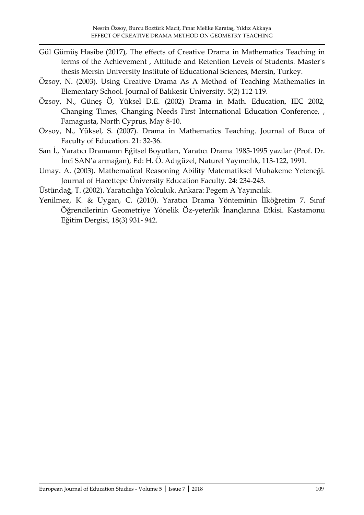- Gül Gümüş Hasibe (2017), The effects of Creative Drama in Mathematics Teaching in terms of the Achievement , Attitude and Retention Levels of Students. Master's thesis Mersin University Institute of Educational Sciences, Mersin, Turkey.
- Özsoy, N. (2003). Using Creative Drama As A Method of Teaching Mathematics in Elementary School. Journal of Balıkesir University. 5(2) 112-119.
- Özsoy, N., Güneş Ö, Yüksel D.E. (2002) Drama in Math. Education, IEC 2002, Changing Times, Changing Needs First International Education Conference, , Famagusta, North Cyprus, May 8-10.
- Özsoy, N., Yüksel, S. (2007). Drama in Mathematics Teaching. Journal of Buca of Faculty of Education. 21: 32-36.
- San İ., Yaratıcı Dramanın Eğitsel Boyutları, Yaratıcı Drama 1985-1995 yazılar (Prof. Dr. İnci SAN'a armağan), Ed: H. Ö. Adıgüzel, Naturel Yayıncılık, 113-122, 1991.
- Umay. A. (2003). Mathematical Reasoning Ability Matematiksel Muhakeme Yeteneği. Journal of Hacettepe Üniversity Education Faculty. 24: 234-243.
- Üstündağ, T. (2002). Yaratıcılığa Yolculuk. Ankara: Pegem A Yayıncılık.
- Yenilmez, K. & Uygan, C. (2010). Yaratıcı Drama Yönteminin İlköğretim 7. Sınıf Öğrencilerinin Geometriye Yönelik Öz-yeterlik İnançlarına Etkisi. Kastamonu Eğitim Dergisi, 18(3) 931- 942.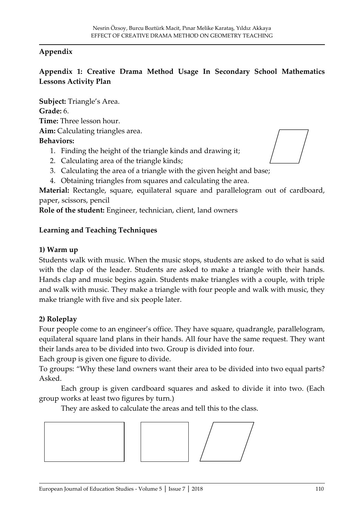## **Appendix**

## **Appendix 1: Creative Drama Method Usage In Secondary School Mathematics Lessons Activity Plan**

**Subject:** Triangle's Area. **Grade:** 6. **Time:** Three lesson hour. **Aim:** Calculating triangles area. **Behaviors:** 1. Finding the height of the triangle kinds and drawing it;

- 2. Calculating area of the triangle kinds;
- 3. Calculating the area of a triangle with the given height and base;
- 4. Obtaining triangles from squares and calculating the area.

**Material:** Rectangle, square, equilateral square and parallelogram out of cardboard, paper, scissors, pencil

**Role of the student:** Engineer, technician, client, land owners

### **Learning and Teaching Techniques**

#### **1) Warm up**

Students walk with music. When the music stops, students are asked to do what is said with the clap of the leader. Students are asked to make a triangle with their hands. Hands clap and music begins again. Students make triangles with a couple, with triple and walk with music. They make a triangle with four people and walk with music, they make triangle with five and six people later.

### **2) Roleplay**

Four people come to an engineer's office. They have square, quadrangle, parallelogram, equilateral square land plans in their hands. All four have the same request. They want their lands area to be divided into two. Group is divided into four.

Each group is given one figure to divide.

To groups: 'Why these land owners want their area to be divided into two equal parts? Asked.

Each group is given cardboard squares and asked to divide it into two. (Each group works at least two figures by turn.)

They are asked to calculate the areas and tell this to the class.



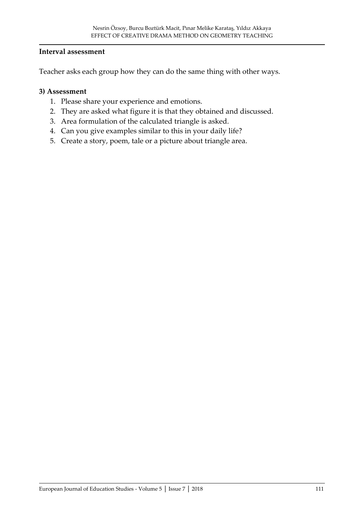#### **Interval assessment**

Teacher asks each group how they can do the same thing with other ways.

#### **3) Assessment**

- 1. Please share your experience and emotions.
- 2. They are asked what figure it is that they obtained and discussed.
- 3. Area formulation of the calculated triangle is asked.
- 4. Can you give examples similar to this in your daily life?
- 5. Create a story, poem, tale or a picture about triangle area.